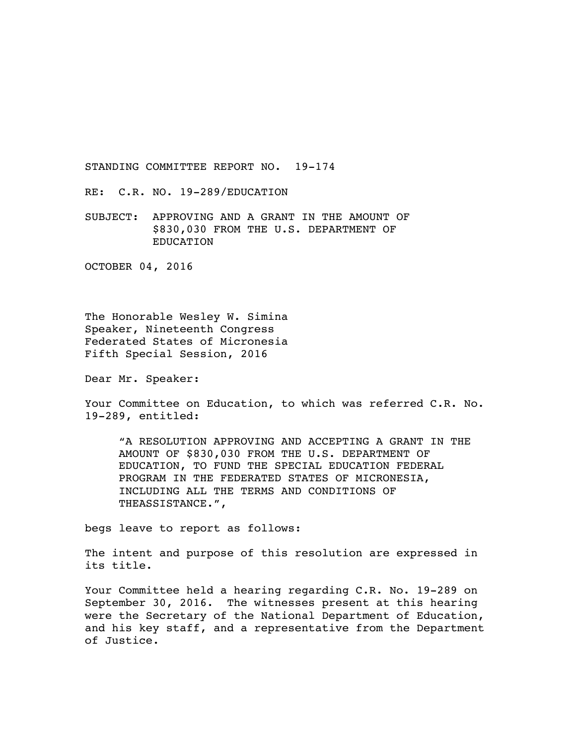STANDING COMMITTEE REPORT NO. 19-174

RE: C.R. NO. 19-289/EDUCATION

SUBJECT: APPROVING AND A GRANT IN THE AMOUNT OF \$830,030 FROM THE U.S. DEPARTMENT OF EDUCATION

OCTOBER 04, 2016

The Honorable Wesley W. Simina Speaker, Nineteenth Congress Federated States of Micronesia Fifth Special Session, 2016

Dear Mr. Speaker:

Your Committee on Education, to which was referred C.R. No. 19-289, entitled:

"A RESOLUTION APPROVING AND ACCEPTING A GRANT IN THE AMOUNT OF \$830,030 FROM THE U.S. DEPARTMENT OF EDUCATION, TO FUND THE SPECIAL EDUCATION FEDERAL PROGRAM IN THE FEDERATED STATES OF MICRONESIA, INCLUDING ALL THE TERMS AND CONDITIONS OF THEASSISTANCE.",

begs leave to report as follows:

The intent and purpose of this resolution are expressed in its title.

Your Committee held a hearing regarding C.R. No. 19-289 on September 30, 2016. The witnesses present at this hearing were the Secretary of the National Department of Education, and his key staff, and a representative from the Department of Justice.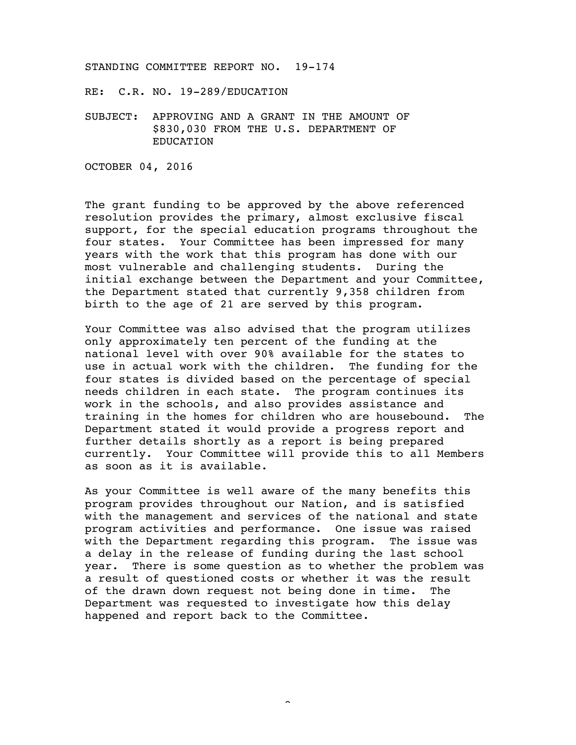## STANDING COMMITTEE REPORT NO. 19-174

RE: C.R. NO. 19-289/EDUCATION

SUBJECT: APPROVING AND A GRANT IN THE AMOUNT OF \$830,030 FROM THE U.S. DEPARTMENT OF EDUCATION

OCTOBER 04, 2016

The grant funding to be approved by the above referenced resolution provides the primary, almost exclusive fiscal support, for the special education programs throughout the four states. Your Committee has been impressed for many years with the work that this program has done with our most vulnerable and challenging students. During the initial exchange between the Department and your Committee, the Department stated that currently 9,358 children from birth to the age of 21 are served by this program.

Your Committee was also advised that the program utilizes only approximately ten percent of the funding at the national level with over 90% available for the states to use in actual work with the children. The funding for the four states is divided based on the percentage of special needs children in each state. The program continues its work in the schools, and also provides assistance and training in the homes for children who are housebound. The Department stated it would provide a progress report and further details shortly as a report is being prepared currently. Your Committee will provide this to all Members as soon as it is available.

As your Committee is well aware of the many benefits this program provides throughout our Nation, and is satisfied with the management and services of the national and state program activities and performance. One issue was raised with the Department regarding this program. The issue was a delay in the release of funding during the last school year. There is some question as to whether the problem was a result of questioned costs or whether it was the result of the drawn down request not being done in time. The Department was requested to investigate how this delay happened and report back to the Committee.